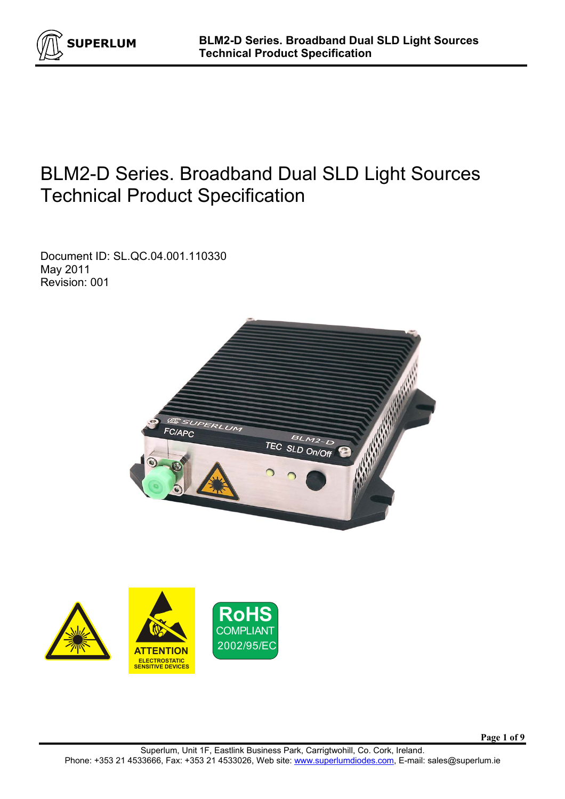

# BLM2-D Series. Broadband Dual SLD Light Sources Technical Product Specification

Document ID: SL.QC.04.001.110330 May 2011 Revision: 001



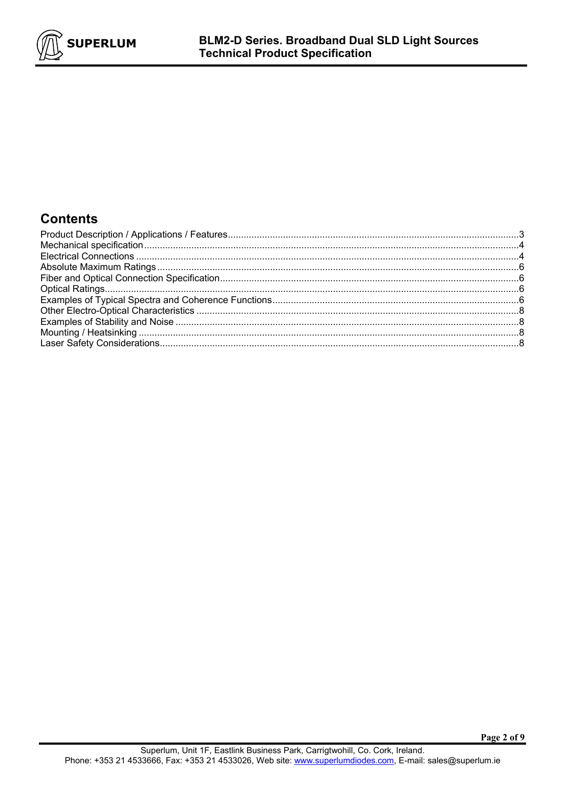

# **Contents**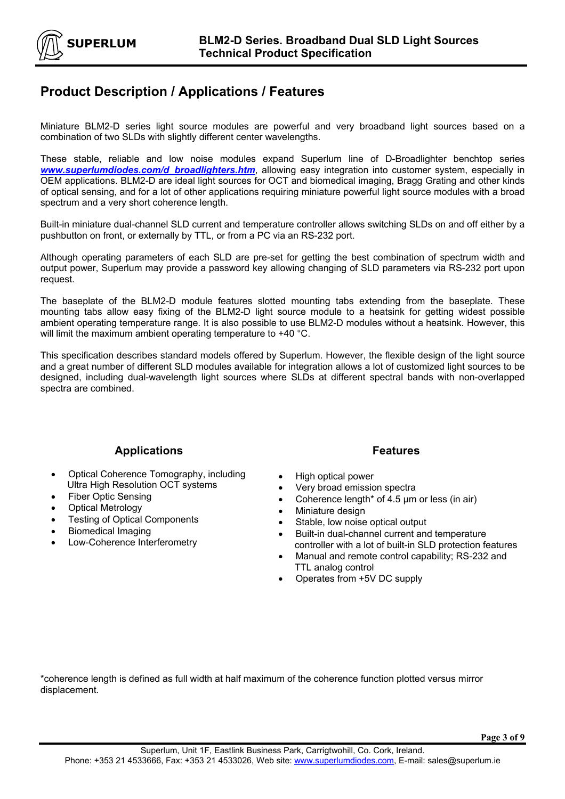

#### **Product Description / Applications / Features**

Miniature BLM2-D series light source modules are powerful and very broadband light sources based on a combination of two SLDs with slightly different center wavelengths.

These stable, reliable and low noise modules expand Superlum line of D-Broadlighter benchtop series *www.superlumdiodes.com/d\_broadlighters.htm*, allowing easy integration into customer system, especially in OEM applications. BLM2-D are ideal light sources for OCT and biomedical imaging, Bragg Grating and other kinds of optical sensing, and for a lot of other applications requiring miniature powerful light source modules with a broad spectrum and a very short coherence length.

Built-in miniature dual-channel SLD current and temperature controller allows switching SLDs on and off either by a pushbutton on front, or externally by TTL, or from a PC via an RS-232 port.

Although operating parameters of each SLD are pre-set for getting the best combination of spectrum width and output power, Superlum may provide a password key allowing changing of SLD parameters via RS-232 port upon request.

The baseplate of the BLM2-D module features slotted mounting tabs extending from the baseplate. These mounting tabs allow easy fixing of the BLM2-D light source module to a heatsink for getting widest possible ambient operating temperature range. It is also possible to use BLM2-D modules without a heatsink. However, this will limit the maximum ambient operating temperature to +40 °C.

This specification describes standard models offered by Superlum. However, the flexible design of the light source and a great number of different SLD modules available for integration allows a lot of customized light sources to be designed, including dual-wavelength light sources where SLDs at different spectral bands with non-overlapped spectra are combined.

#### **Applications**

- Optical Coherence Tomography, including Ultra High Resolution OCT systems
- Fiber Optic Sensing
- Optical Metrology
- **Testing of Optical Components**
- Biomedical Imaging
- Low-Coherence Interferometry

#### **Features**

- High optical power
- Very broad emission spectra
- Coherence length\* of 4.5 µm or less (in air)
- Miniature design
- Stable, low noise optical output
- Built-in dual-channel current and temperature controller with a lot of built-in SLD protection features
- Manual and remote control capability; RS-232 and TTL analog control
- Operates from +5V DC supply

\*coherence length is defined as full width at half maximum of the coherence function plotted versus mirror displacement.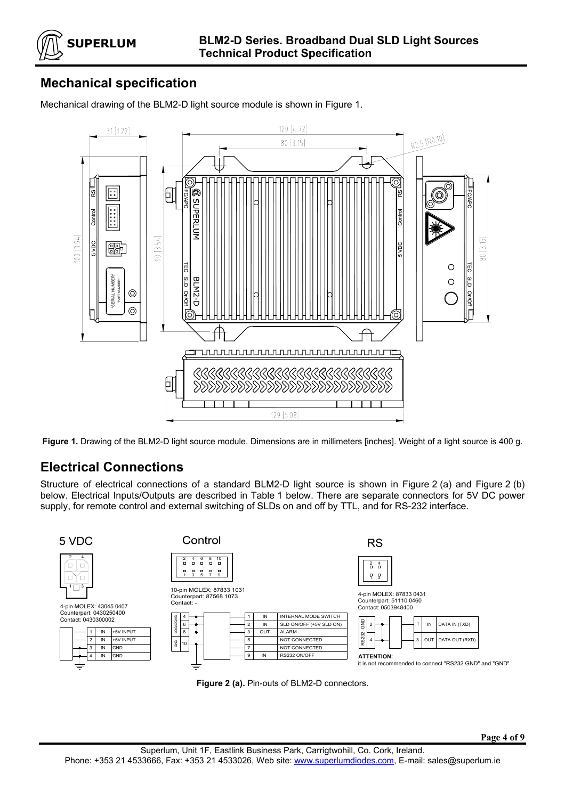

# **Mechanical specification**

Mechanical drawing of the BLM2-D light source module is shown in Figure 1.



**Figure 1.** Drawing of the BLM2-D light source module. Dimensions are in millimeters [inches]. Weight of a light source is 400 g.

#### **Electrical Connections**

Structure of electrical connections of a standard BLM2-D light source is shown in Figure 2 (a) and Figure 2 (b) below. Electrical Inputs/Outputs are described in Table 1 below. There are separate connectors for 5V DC power supply, for remote control and external switching of SLDs on and off by TTL, and for RS-232 interface.



**Figure 2 (a).** Pin-outs of BLM2-D connectors.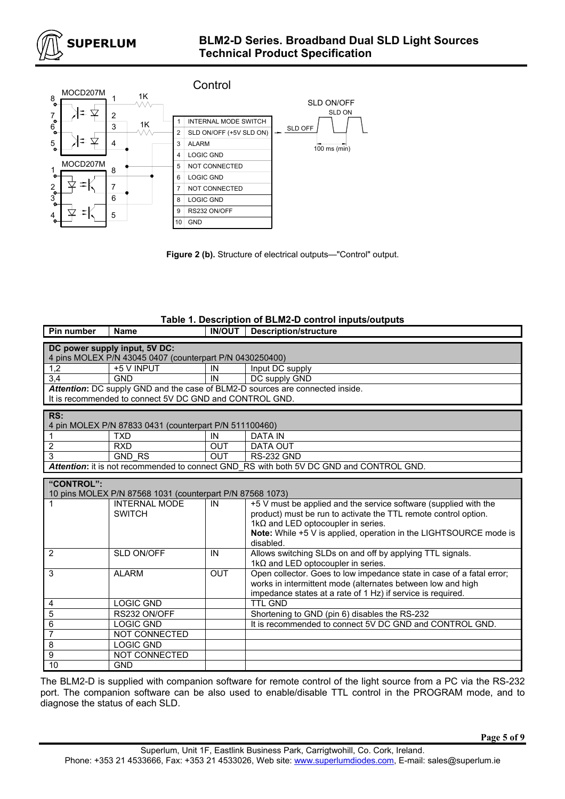



**Figure 2 (b).** Structure of electrical outputs—"Control" output.

#### **Table 1. Description of BLM2-D control inputs/outputs**

| Pin number                                                                    | <b>Name</b>                                                          | <b>IN/OUT</b> | <b>Description/structure</b>                                                            |  |  |  |  |  |  |
|-------------------------------------------------------------------------------|----------------------------------------------------------------------|---------------|-----------------------------------------------------------------------------------------|--|--|--|--|--|--|
| DC power supply input, 5V DC:                                                 |                                                                      |               |                                                                                         |  |  |  |  |  |  |
| 4 pins MOLEX P/N 43045 0407 (counterpart P/N 0430250400)                      |                                                                      |               |                                                                                         |  |  |  |  |  |  |
| 1,2                                                                           | +5 V INPUT                                                           | IN            | Input DC supply                                                                         |  |  |  |  |  |  |
| 3,4                                                                           | <b>GND</b>                                                           | IN            | DC supply GND                                                                           |  |  |  |  |  |  |
| Attention: DC supply GND and the case of BLM2-D sources are connected inside. |                                                                      |               |                                                                                         |  |  |  |  |  |  |
|                                                                               | It is recommended to connect 5V DC GND and CONTROL GND.              |               |                                                                                         |  |  |  |  |  |  |
| RS:                                                                           |                                                                      |               |                                                                                         |  |  |  |  |  |  |
|                                                                               |                                                                      |               |                                                                                         |  |  |  |  |  |  |
|                                                                               | 4 pin MOLEX P/N 87833 0431 (counterpart P/N 511100460)<br><b>TXD</b> | IN            | <b>DATA IN</b>                                                                          |  |  |  |  |  |  |
| 1                                                                             | <b>RXD</b>                                                           |               |                                                                                         |  |  |  |  |  |  |
| 2<br>$\overline{3}$                                                           |                                                                      | <b>OUT</b>    | <b>DATA OUT</b>                                                                         |  |  |  |  |  |  |
|                                                                               | <b>GND RS</b>                                                        | <b>OUT</b>    | <b>RS-232 GND</b>                                                                       |  |  |  |  |  |  |
|                                                                               |                                                                      |               | Attention: it is not recommended to connect GND RS with both 5V DC GND and CONTROL GND. |  |  |  |  |  |  |
| "CONTROL":                                                                    |                                                                      |               |                                                                                         |  |  |  |  |  |  |
|                                                                               | 10 pins MOLEX P/N 87568 1031 (counterpart P/N 87568 1073)            |               |                                                                                         |  |  |  |  |  |  |
| 1                                                                             | <b>INTERNAL MODE</b>                                                 | IN            | +5 V must be applied and the service software (supplied with the                        |  |  |  |  |  |  |
|                                                                               | <b>SWITCH</b>                                                        |               | product) must be run to activate the TTL remote control option.                         |  |  |  |  |  |  |
|                                                                               |                                                                      |               | $1k\Omega$ and LED optocoupler in series.                                               |  |  |  |  |  |  |
|                                                                               |                                                                      |               | Note: While +5 V is applied, operation in the LIGHTSOURCE mode is                       |  |  |  |  |  |  |
|                                                                               |                                                                      |               | disabled.                                                                               |  |  |  |  |  |  |
| 2                                                                             | SLD ON/OFF                                                           | IN            | Allows switching SLDs on and off by applying TTL signals.                               |  |  |  |  |  |  |
|                                                                               |                                                                      |               | $1k\Omega$ and LED optocoupler in series.                                               |  |  |  |  |  |  |
| 3                                                                             | <b>ALARM</b>                                                         | <b>OUT</b>    | Open collector. Goes to low impedance state in case of a fatal error;                   |  |  |  |  |  |  |
|                                                                               |                                                                      |               | works in intermittent mode (alternates between low and high                             |  |  |  |  |  |  |
|                                                                               |                                                                      |               | impedance states at a rate of 1 Hz) if service is required.                             |  |  |  |  |  |  |
| 4                                                                             | <b>LOGIC GND</b>                                                     |               | <b>TTL GND</b>                                                                          |  |  |  |  |  |  |
| 5                                                                             | RS232 ON/OFF                                                         |               | Shortening to GND (pin 6) disables the RS-232                                           |  |  |  |  |  |  |
| 6                                                                             | <b>LOGIC GND</b>                                                     |               | It is recommended to connect 5V DC GND and CONTROL GND.                                 |  |  |  |  |  |  |
| 7                                                                             | NOT CONNECTED                                                        |               |                                                                                         |  |  |  |  |  |  |
| 8                                                                             | <b>LOGIC GND</b>                                                     |               |                                                                                         |  |  |  |  |  |  |
| 9                                                                             | NOT CONNECTED                                                        |               |                                                                                         |  |  |  |  |  |  |
| 10                                                                            | <b>GND</b>                                                           |               |                                                                                         |  |  |  |  |  |  |

The BLM2-D is supplied with companion software for remote control of the light source from a PC via the RS-232 port. The companion software can be also used to enable/disable TTL control in the PROGRAM mode, and to diagnose the status of each SLD.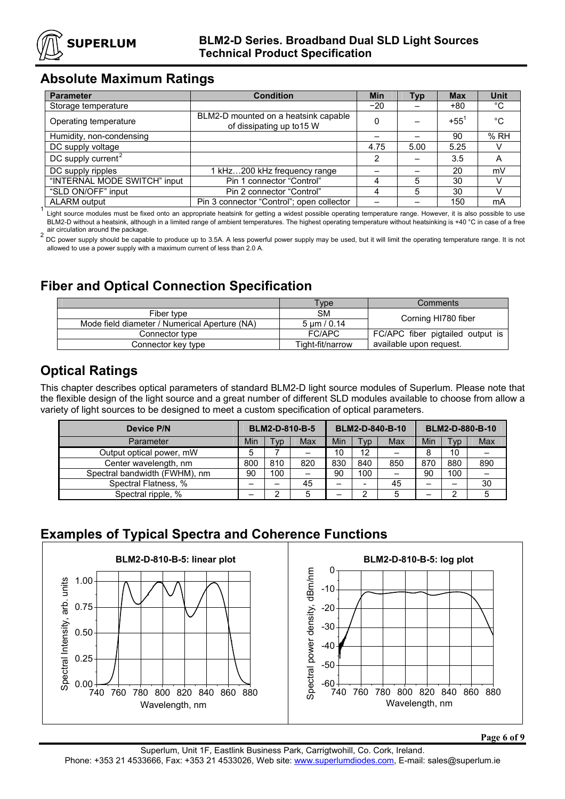

### **Absolute Maximum Ratings**

| <b>Parameter</b>               | <b>Condition</b>                                                  | <b>Min</b>     | Typ  | <b>Max</b>    | Unit        |
|--------------------------------|-------------------------------------------------------------------|----------------|------|---------------|-------------|
| Storage temperature            |                                                                   | $-20$          |      | $+80$         | °C          |
| Operating temperature          | BLM2-D mounted on a heatsink capable<br>of dissipating up to 15 W | 0              |      | $+55^{\circ}$ | $^{\circ}C$ |
| Humidity, non-condensing       |                                                                   |                |      | 90            | %RH         |
| DC supply voltage              |                                                                   | 4.75           | 5.00 | 5.25          |             |
| DC supply current <sup>2</sup> |                                                                   | $\overline{2}$ |      | 3.5           | Α           |
| DC supply ripples              | 1 kHz200 kHz frequency range                                      |                |      | 20            | mV          |
| "INTERNAL MODE SWITCH" input   | Pin 1 connector "Control"                                         | 4              | 5    | 30            |             |
| "SLD ON/OFF" input             | Pin 2 connector "Control"                                         | 4              | 5    | 30            |             |
| <b>ALARM</b> output            | Pin 3 connector "Control"; open collector                         |                |      | 150           | mA          |

Light source modules must be fixed onto an appropriate heatsink for getting a widest possible operating temperature range. However, it is also possible to use BLM2-D without a heatsink, although in a limited range of ambient temperatures. The highest operating temperature without heatsinking is +40 °C in case of a free air circulation around the package.

air circulation around the package.<br><sup>2</sup> DC power supply should be capable to produce up to 3.5A. A less powerful power supply may be used, but it will limit the operating temperature range. It is not allowed to use a power supply with a maximum current of less than 2.0 A.

## **Fiber and Optical Connection Specification**

|                                               | Type                  | Comments                         |
|-----------------------------------------------|-----------------------|----------------------------------|
| Fiber type                                    | <b>SM</b>             | Corning HI780 fiber              |
| Mode field diameter / Numerical Aperture (NA) | $5 \text{ µm} / 0.14$ |                                  |
| Connector type                                | FC/APC                | FC/APC fiber pigtailed output is |
| Connector key type                            | Tight-fit/narrow      | available upon request.          |

## **Optical Ratings**

This chapter describes optical parameters of standard BLM2-D light source modules of Superlum. Please note that the flexible design of the light source and a great number of different SLD modules available to choose from allow a variety of light sources to be designed to meet a custom specification of optical parameters.

| Device P/N                    | BLM2-D-810-B-5 |                          | BLM2-D-840-B-10 |     |     | BLM2-D-880-B-10 |     |            |     |
|-------------------------------|----------------|--------------------------|-----------------|-----|-----|-----------------|-----|------------|-----|
| Parameter                     | Min            | T <sub>VD</sub>          | Max             | Min | Tvp | Max             | Min | <b>Typ</b> | Max |
| Output optical power, mW      | 5              |                          |                 | 10  | 12  | -               | 8   | 10         |     |
| Center wavelength, nm         | 800            | 810                      | 820             | 830 | 840 | 850             | 870 | 880        | 890 |
| Spectral bandwidth (FWHM), nm | 90             | 100                      | -               | 90  | 100 | -               | 90  | 100        |     |
| Spectral Flatness, %          |                | $\overline{\phantom{0}}$ | 45              |     |     | 45              |     |            | 30  |
| Spectral ripple, %            |                | ◠<br>_                   | 5               |     | ົ   |                 |     | ⌒          |     |

# **Examples of Typical Spectra and Coherence Functions**



**Page 6 of 9**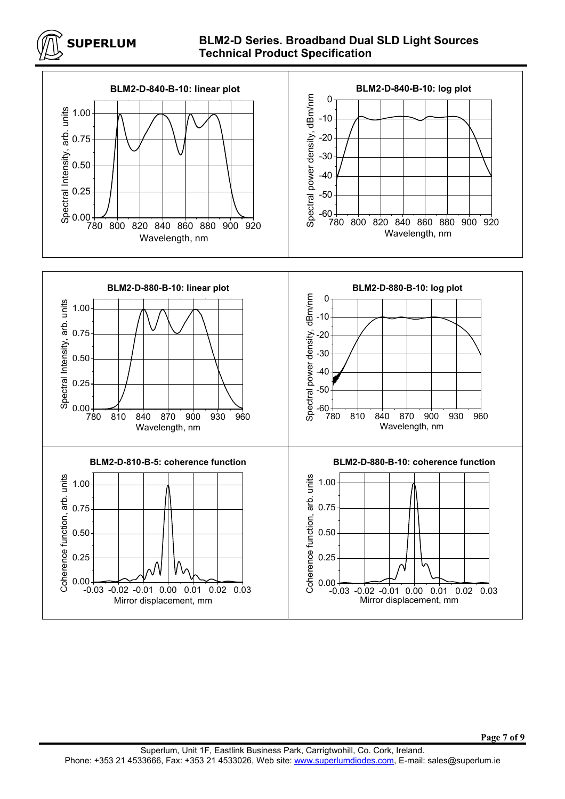

#### **BLM2-D Series. Broadband Dual SLD Light Sources Technical Product Specification**



**Page 7 of 9**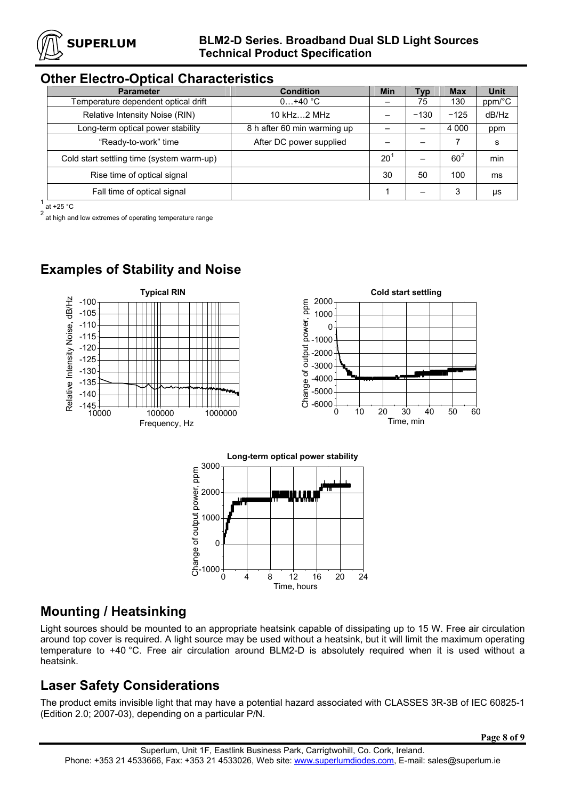

#### **Other Electro-Optical Characteristics**

| <b>Parameter</b>                          | <b>Condition</b>            | <b>Min</b>   | Тур    | <b>Max</b> | <b>Unit</b> |
|-------------------------------------------|-----------------------------|--------------|--------|------------|-------------|
| Temperature dependent optical drift       | $0+40$ °C                   |              | 75     | 130        | ppm/°C      |
| Relative Intensity Noise (RIN)            | 10 $kHz2$ MHz               |              | $-130$ | $-125$     | dB/Hz       |
| Long-term optical power stability         | 8 h after 60 min warming up |              |        | 4 0 0 0    | ppm         |
| "Ready-to-work" time                      | After DC power supplied     |              |        |            | s           |
| Cold start settling time (system warm-up) |                             | $20^{\circ}$ | —      | $60^2$     | min         |
| Rise time of optical signal               |                             | 30           | 50     | 100        | ms          |
| Fall time of optical signal               |                             |              |        | 3          | μs          |

 $1$  at +25 °C

2 at 120  $\degree$ <br>at high and low extremes of operating temperature range

# **Examples of Stability and Noise**



## **Mounting / Heatsinking**

Light sources should be mounted to an appropriate heatsink capable of dissipating up to 15 W. Free air circulation around top cover is required. A light source may be used without a heatsink, but it will limit the maximum operating temperature to +40 °C. Free air circulation around BLM2-D is absolutely required when it is used without a heatsink.

## **Laser Safety Considerations**

The product emits invisible light that may have a potential hazard associated with CLASSES 3R-3B of IEC 60825-1 (Edition 2.0; 2007-03), depending on a particular P/N.